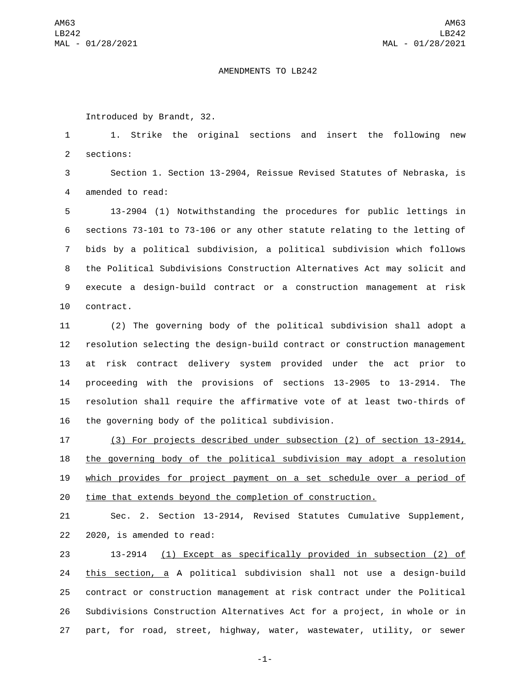## AMENDMENTS TO LB242

Introduced by Brandt, 32.

 1. Strike the original sections and insert the following new 2 sections:

 Section 1. Section 13-2904, Reissue Revised Statutes of Nebraska, is 4 amended to read:

 13-2904 (1) Notwithstanding the procedures for public lettings in sections 73-101 to 73-106 or any other statute relating to the letting of bids by a political subdivision, a political subdivision which follows the Political Subdivisions Construction Alternatives Act may solicit and execute a design-build contract or a construction management at risk 10 contract.

 (2) The governing body of the political subdivision shall adopt a resolution selecting the design-build contract or construction management at risk contract delivery system provided under the act prior to proceeding with the provisions of sections 13-2905 to 13-2914. The resolution shall require the affirmative vote of at least two-thirds of 16 the governing body of the political subdivision.

 (3) For projects described under subsection (2) of section 13-2914, the governing body of the political subdivision may adopt a resolution which provides for project payment on a set schedule over a period of time that extends beyond the completion of construction.

 Sec. 2. Section 13-2914, Revised Statutes Cumulative Supplement, 22 2020, is amended to read:

 13-2914 (1) Except as specifically provided in subsection (2) of this section, a A political subdivision shall not use a design-build contract or construction management at risk contract under the Political Subdivisions Construction Alternatives Act for a project, in whole or in part, for road, street, highway, water, wastewater, utility, or sewer

-1-